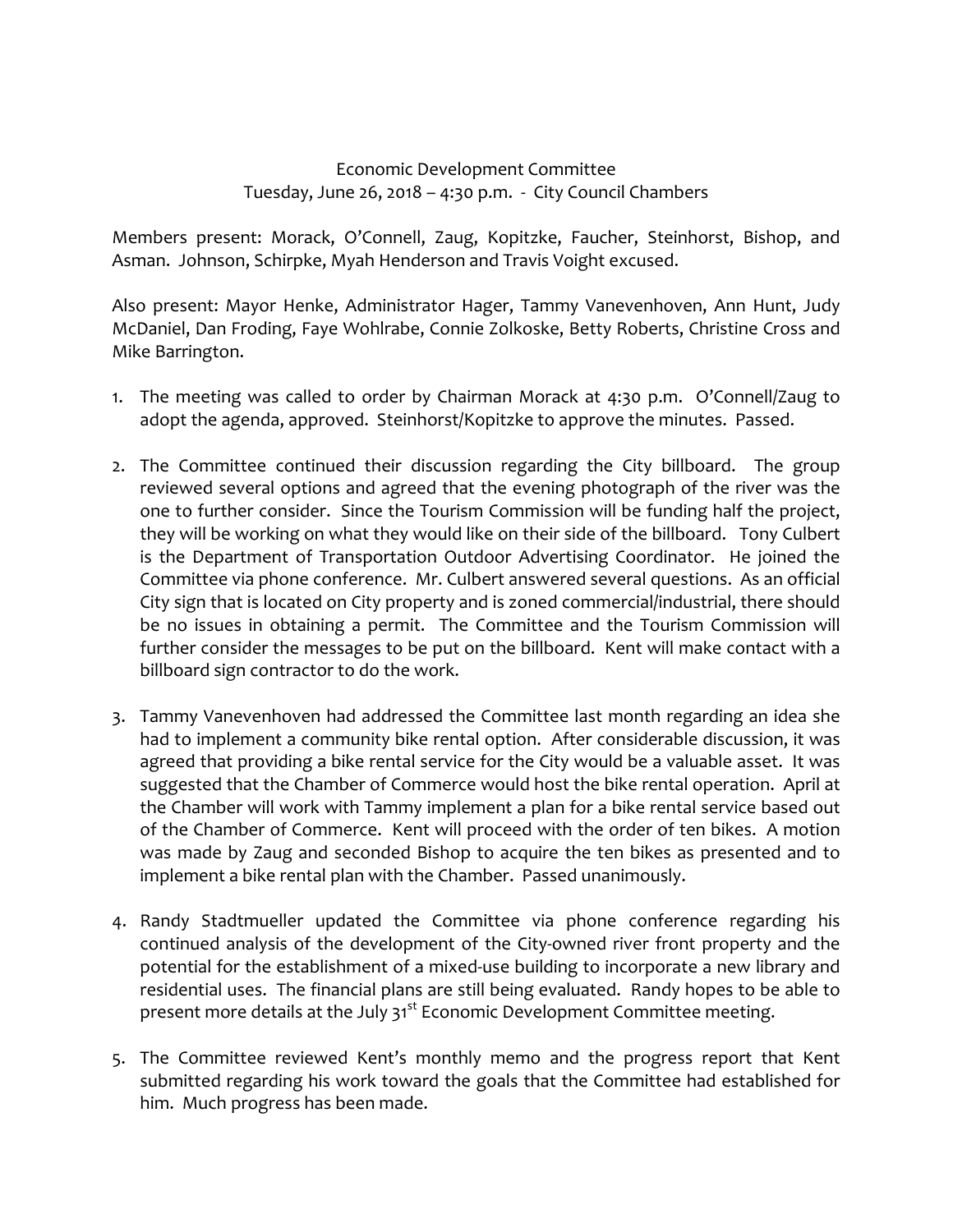## Economic Development Committee Tuesday, June 26, 2018 – 4:30 p.m. ‐ City Council Chambers

Members present: Morack, O'Connell, Zaug, Kopitzke, Faucher, Steinhorst, Bishop, and Asman. Johnson, Schirpke, Myah Henderson and Travis Voight excused.

Also present: Mayor Henke, Administrator Hager, Tammy Vanevenhoven, Ann Hunt, Judy McDaniel, Dan Froding, Faye Wohlrabe, Connie Zolkoske, Betty Roberts, Christine Cross and Mike Barrington.

- 1. The meeting was called to order by Chairman Morack at 4:30 p.m. O'Connell/Zaug to adopt the agenda, approved. Steinhorst/Kopitzke to approve the minutes. Passed.
- 2. The Committee continued their discussion regarding the City billboard. The group reviewed several options and agreed that the evening photograph of the river was the one to further consider. Since the Tourism Commission will be funding half the project, they will be working on what they would like on their side of the billboard. Tony Culbert is the Department of Transportation Outdoor Advertising Coordinator. He joined the Committee via phone conference. Mr. Culbert answered several questions. As an official City sign that is located on City property and is zoned commercial/industrial, there should be no issues in obtaining a permit. The Committee and the Tourism Commission will further consider the messages to be put on the billboard. Kent will make contact with a billboard sign contractor to do the work.
- 3. Tammy Vanevenhoven had addressed the Committee last month regarding an idea she had to implement a community bike rental option. After considerable discussion, it was agreed that providing a bike rental service for the City would be a valuable asset. It was suggested that the Chamber of Commerce would host the bike rental operation. April at the Chamber will work with Tammy implement a plan for a bike rental service based out of the Chamber of Commerce. Kent will proceed with the order of ten bikes. A motion was made by Zaug and seconded Bishop to acquire the ten bikes as presented and to implement a bike rental plan with the Chamber. Passed unanimously.
- 4. Randy Stadtmueller updated the Committee via phone conference regarding his continued analysis of the development of the City‐owned river front property and the potential for the establishment of a mixed-use building to incorporate a new library and residential uses. The financial plans are still being evaluated. Randy hopes to be able to present more details at the July 31<sup>st</sup> Economic Development Committee meeting.
- 5. The Committee reviewed Kent's monthly memo and the progress report that Kent submitted regarding his work toward the goals that the Committee had established for him. Much progress has been made.